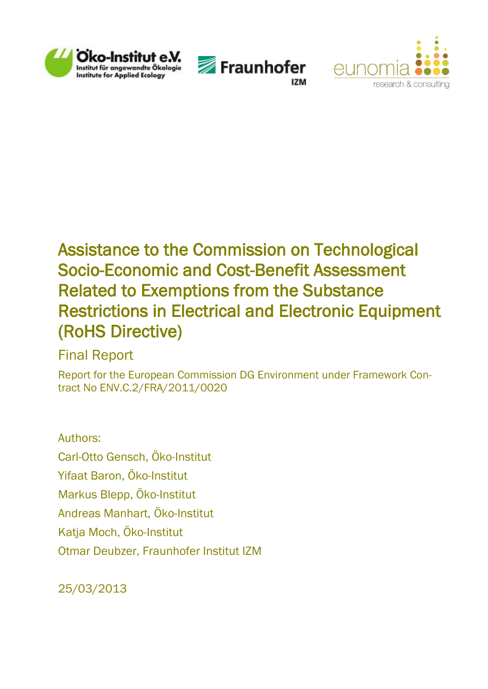





# Assistance to the Commission on Technological Socio-Economic and Cost-Benefit Assessment Related to Exemptions from the Substance Restrictions in Electrical and Electronic Equipment (RoHS Directive)

## Final Report

Report for the European Commission DG Environment under Framework Contract No ENV.C.2/FRA/2011/0020

## Authors:

Carl-Otto Gensch, Öko-Institut Yifaat Baron, Öko-Institut Markus Blepp, Öko-Institut Andreas Manhart, Öko-Institut Katja Moch, Öko-Institut Otmar Deubzer, Fraunhofer Institut IZM

25/03/2013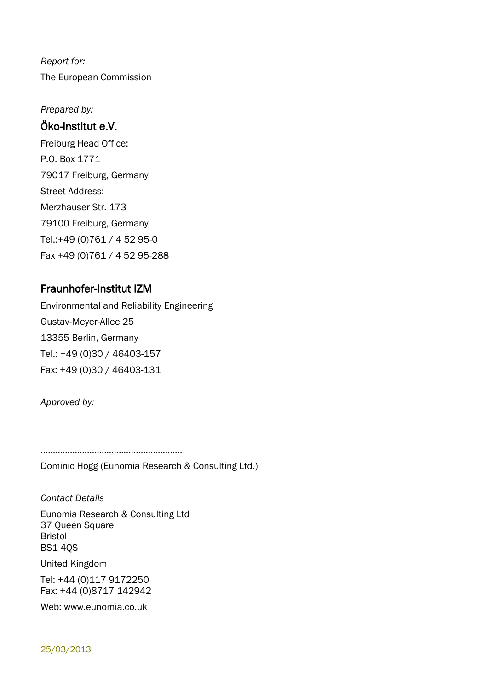*Report for:* The European Commission

*Prepared by:*

## Öko-Institut e.V.

Freiburg Head Office: P.O. Box 1771 79017 Freiburg, Germany Street Address: Merzhauser Str. 173 79100 Freiburg, Germany Tel.:+49 (0)761 / 4 52 95-0 Fax +49 (0)761 / 4 52 95-288

## Fraunhofer-Institut IZM

Environmental and Reliability Engineering Gustav-Meyer-Allee 25 13355 Berlin, Germany Tel.: +49 (0)30 / 46403-157 Fax: +49 (0)30 / 46403-131

*Approved by:*

………………………………………………….

Dominic Hogg (Eunomia Research & Consulting Ltd.)

*Contact Details* Eunomia Research & Consulting Ltd 37 Queen Square Bristol BS1 4QS

United Kingdom

Tel: +44 (0)117 9172250 Fax: +44 (0)8717 142942

Web: www.eunomia.co.uk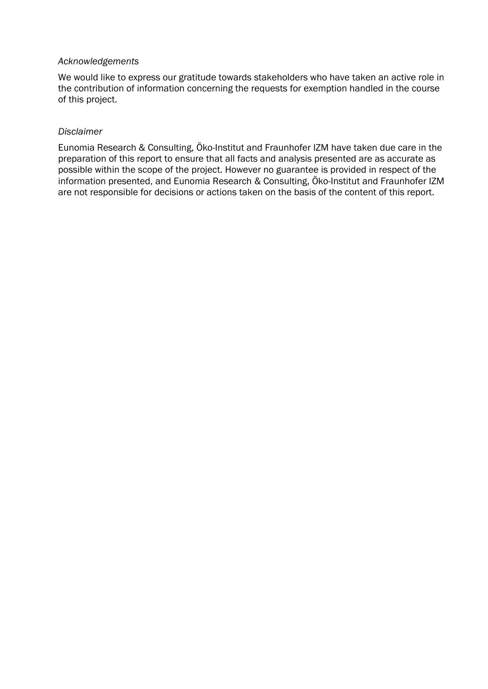#### *Acknowledgements*

We would like to express our gratitude towards stakeholders who have taken an active role in the contribution of information concerning the requests for exemption handled in the course of this project.

#### *Disclaimer*

Eunomia Research & Consulting, Öko-Institut and Fraunhofer IZM have taken due care in the preparation of this report to ensure that all facts and analysis presented are as accurate as possible within the scope of the project. However no guarantee is provided in respect of the information presented, and Eunomia Research & Consulting, Öko-Institut and Fraunhofer IZM are not responsible for decisions or actions taken on the basis of the content of this report.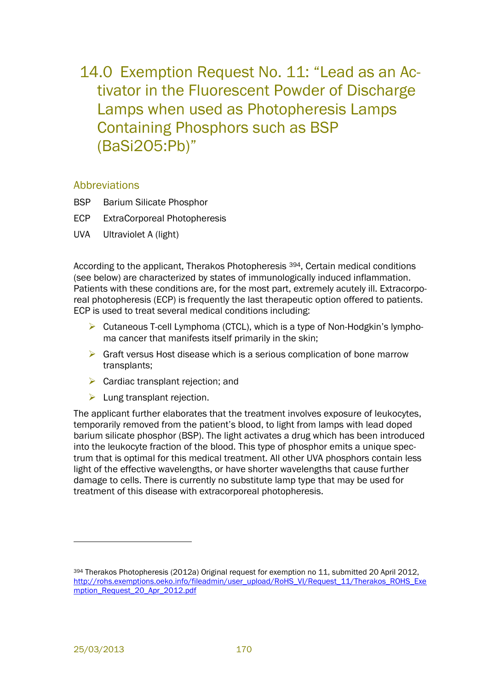14.0 Exemption Request No. 11: "Lead as an Activator in the Fluorescent Powder of Discharge Lamps when used as Photopheresis Lamps Containing Phosphors such as BSP (BaSi2O5:Pb)"

#### Abbreviations

- BSP Barium Silicate Phosphor
- ECP ExtraCorporeal Photopheresis
- UVA Ultraviolet A (light)

According to the applicant, Therakos Photopheresis 394, Certain medical conditions (see below) are characterized by states of immunologically induced inflammation. Patients with these conditions are, for the most part, extremely acutely ill. Extracorporeal photopheresis (ECP) is frequently the last therapeutic option offered to patients. ECP is used to treat several medical conditions including:

- $\triangleright$  Cutaneous T-cell Lymphoma (CTCL), which is a type of Non-Hodgkin's lymphoma cancer that manifests itself primarily in the skin;
- $\triangleright$  Graft versus Host disease which is a serious complication of bone marrow transplants;
- $\triangleright$  Cardiac transplant rejection; and
- $\blacktriangleright$  Lung transplant rejection.

The applicant further elaborates that the treatment involves exposure of leukocytes, temporarily removed from the patient's blood, to light from lamps with lead doped barium silicate phosphor (BSP). The light activates a drug which has been introduced into the leukocyte fraction of the blood. This type of phosphor emits a unique spectrum that is optimal for this medical treatment. All other UVA phosphors contain less light of the effective wavelengths, or have shorter wavelengths that cause further damage to cells. There is currently no substitute lamp type that may be used for treatment of this disease with extracorporeal photopheresis.

l

<sup>394</sup> Therakos Photopheresis (2012a) Original request for exemption no 11, submitted 20 April 2012, http://rohs.exemptions.oeko.info/fileadmin/user\_upload/RoHS\_VI/Request\_11/Therakos\_ROHS\_Exe mption\_Request\_20\_Apr\_2012.pdf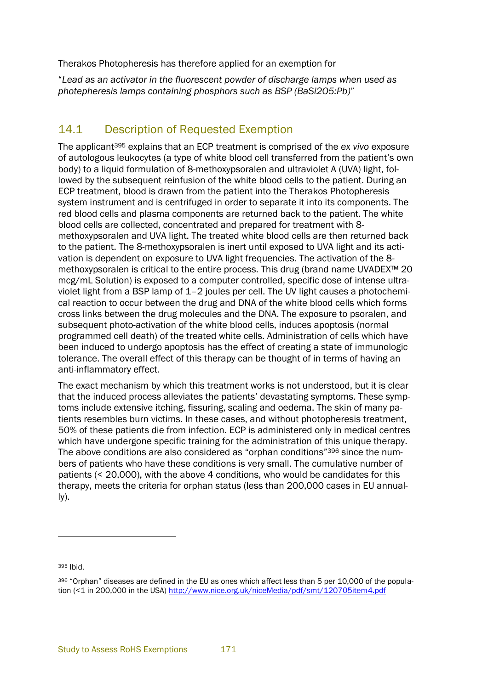Therakos Photopheresis has therefore applied for an exemption for

"*Lead as an activator in the fluorescent powder of discharge lamps when used as photepheresis lamps containing phosphors such as BSP (BaSi2O5:Pb)*"

## 14.1 Description of Requested Exemption

The applicant<sup>395</sup> explains that an ECP treatment is comprised of the *ex vivo* exposure of autologous leukocytes (a type of white blood cell transferred from the patient's own body) to a liquid formulation of 8-methoxypsoralen and ultraviolet A (UVA) light, followed by the subsequent reinfusion of the white blood cells to the patient. During an ECP treatment, blood is drawn from the patient into the Therakos Photopheresis system instrument and is centrifuged in order to separate it into its components. The red blood cells and plasma components are returned back to the patient. The white blood cells are collected, concentrated and prepared for treatment with 8 methoxypsoralen and UVA light. The treated white blood cells are then returned back to the patient. The 8-methoxypsoralen is inert until exposed to UVA light and its activation is dependent on exposure to UVA light frequencies. The activation of the 8 methoxypsoralen is critical to the entire process. This drug (brand name UVADEX™ 20 mcg/mL Solution) is exposed to a computer controlled, specific dose of intense ultraviolet light from a BSP lamp of 1–2 joules per cell. The UV light causes a photochemical reaction to occur between the drug and DNA of the white blood cells which forms cross links between the drug molecules and the DNA. The exposure to psoralen, and subsequent photo-activation of the white blood cells, induces apoptosis (normal programmed cell death) of the treated white cells. Administration of cells which have been induced to undergo apoptosis has the effect of creating a state of immunologic tolerance. The overall effect of this therapy can be thought of in terms of having an anti-inflammatory effect.

The exact mechanism by which this treatment works is not understood, but it is clear that the induced process alleviates the patients' devastating symptoms. These symptoms include extensive itching, fissuring, scaling and oedema. The skin of many patients resembles burn victims. In these cases, and without photopheresis treatment, 50% of these patients die from infection. ECP is administered only in medical centres which have undergone specific training for the administration of this unique therapy. The above conditions are also considered as "orphan conditions"<sup>396</sup> since the numbers of patients who have these conditions is very small. The cumulative number of patients (< 20,000), with the above 4 conditions, who would be candidates for this therapy, meets the criteria for orphan status (less than 200,000 cases in EU annually).

<sup>395</sup> Ibid.

l

<sup>396</sup> "Orphan" diseases are defined in the EU as ones which affect less than 5 per 10,000 of the population (<1 in 200,000 in the USA) http://www.nice.org.uk/niceMedia/pdf/smt/120705item4.pdf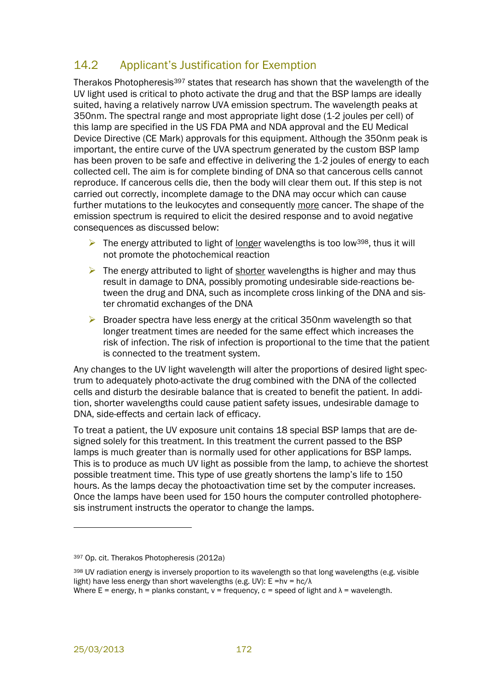## 14.2 Applicant's Justification for Exemption

Therakos Photopheresis<sup>397</sup> states that research has shown that the wavelength of the UV light used is critical to photo activate the drug and that the BSP lamps are ideally suited, having a relatively narrow UVA emission spectrum. The wavelength peaks at 350nm. The spectral range and most appropriate light dose (1-2 joules per cell) of this lamp are specified in the US FDA PMA and NDA approval and the EU Medical Device Directive (CE Mark) approvals for this equipment. Although the 350nm peak is important, the entire curve of the UVA spectrum generated by the custom BSP lamp has been proven to be safe and effective in delivering the 1-2 joules of energy to each collected cell. The aim is for complete binding of DNA so that cancerous cells cannot reproduce. If cancerous cells die, then the body will clear them out. If this step is not carried out correctly, incomplete damage to the DNA may occur which can cause further mutations to the leukocytes and consequently more cancer. The shape of the emission spectrum is required to elicit the desired response and to avoid negative consequences as discussed below:

- $\triangleright$  The energy attributed to light of <u>longer</u> wavelengths is too low<sup>398</sup>, thus it will not promote the photochemical reaction
- $\triangleright$  The energy attributed to light of shorter wavelengths is higher and may thus result in damage to DNA, possibly promoting undesirable side-reactions between the drug and DNA, such as incomplete cross linking of the DNA and sister chromatid exchanges of the DNA
- $\triangleright$  Broader spectra have less energy at the critical 350nm wavelength so that longer treatment times are needed for the same effect which increases the risk of infection. The risk of infection is proportional to the time that the patient is connected to the treatment system.

Any changes to the UV light wavelength will alter the proportions of desired light spectrum to adequately photo-activate the drug combined with the DNA of the collected cells and disturb the desirable balance that is created to benefit the patient. In addition, shorter wavelengths could cause patient safety issues, undesirable damage to DNA, side-effects and certain lack of efficacy.

To treat a patient, the UV exposure unit contains 18 special BSP lamps that are designed solely for this treatment. In this treatment the current passed to the BSP lamps is much greater than is normally used for other applications for BSP lamps. This is to produce as much UV light as possible from the lamp, to achieve the shortest possible treatment time. This type of use greatly shortens the lamp's life to 150 hours. As the lamps decay the photoactivation time set by the computer increases. Once the lamps have been used for 150 hours the computer controlled photopheresis instrument instructs the operator to change the lamps.

l

<sup>397</sup> Op. cit. Therakos Photopheresis (2012a)

<sup>398</sup> UV radiation energy is inversely proportion to its wavelength so that long wavelengths (e.g. visible light) have less energy than short wavelengths (e.g. UV):  $E = hv = hc/\lambda$ Where  $E =$  energy, h = planks constant, y = frequency, c = speed of light and  $\lambda$  = wavelength.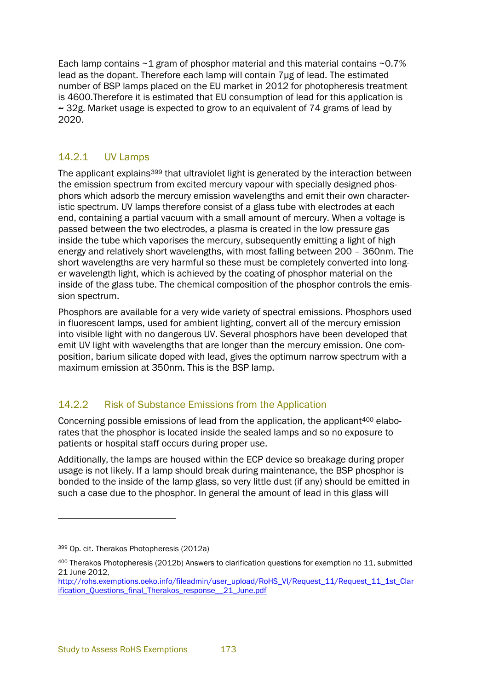Each lamp contains  $\sim$  1 gram of phosphor material and this material contains  $\sim$  0.7% lead as the dopant. Therefore each lamp will contain 7μg of lead. The estimated number of BSP lamps placed on the EU market in 2012 for photopheresis treatment is 4600.Therefore it is estimated that EU consumption of lead for this application is  $\sim$  32g. Market usage is expected to grow to an equivalent of 74 grams of lead by 2020.

### 14.2.1 UV Lamps

The applicant explains<sup>399</sup> that ultraviolet light is generated by the interaction between the emission spectrum from excited mercury vapour with specially designed phosphors which adsorb the mercury emission wavelengths and emit their own characteristic spectrum. UV lamps therefore consist of a glass tube with electrodes at each end, containing a partial vacuum with a small amount of mercury. When a voltage is passed between the two electrodes, a plasma is created in the low pressure gas inside the tube which vaporises the mercury, subsequently emitting a light of high energy and relatively short wavelengths, with most falling between 200 – 360nm. The short wavelengths are very harmful so these must be completely converted into longer wavelength light, which is achieved by the coating of phosphor material on the inside of the glass tube. The chemical composition of the phosphor controls the emission spectrum.

Phosphors are available for a very wide variety of spectral emissions. Phosphors used in fluorescent lamps, used for ambient lighting, convert all of the mercury emission into visible light with no dangerous UV. Several phosphors have been developed that emit UV light with wavelengths that are longer than the mercury emission. One composition, barium silicate doped with lead, gives the optimum narrow spectrum with a maximum emission at 350nm. This is the BSP lamp.

## 14.2.2 Risk of Substance Emissions from the Application

Concerning possible emissions of lead from the application, the applicant<sup>400</sup> elaborates that the phosphor is located inside the sealed lamps and so no exposure to patients or hospital staff occurs during proper use.

Additionally, the lamps are housed within the ECP device so breakage during proper usage is not likely. If a lamp should break during maintenance, the BSP phosphor is bonded to the inside of the lamp glass, so very little dust (if any) should be emitted in such a case due to the phosphor. In general the amount of lead in this glass will

<sup>399</sup> Op. cit. Therakos Photopheresis (2012a)

<sup>400</sup> Therakos Photopheresis (2012b) Answers to clarification questions for exemption no 11, submitted 21 June 2012,

http://rohs.exemptions.oeko.info/fileadmin/user\_upload/RoHS\_VI/Request\_11/Request\_11\_1st\_Clar ification Ouestions final Therakos response 21 June.pdf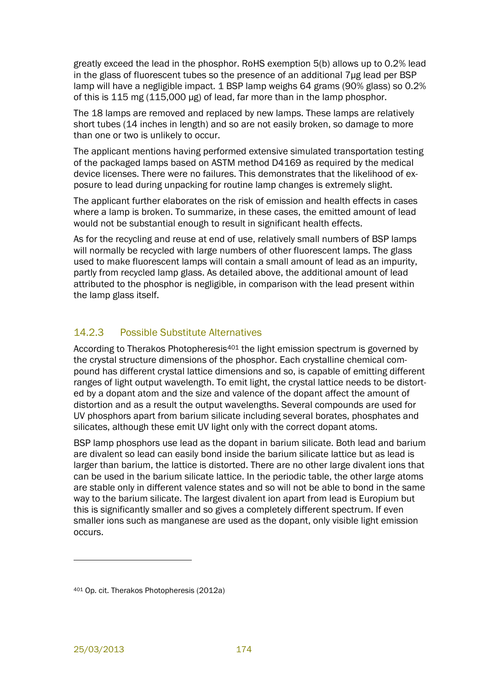greatly exceed the lead in the phosphor. RoHS exemption 5(b) allows up to 0.2% lead in the glass of fluorescent tubes so the presence of an additional 7μg lead per BSP lamp will have a negligible impact. 1 BSP lamp weighs 64 grams (90% glass) so 0.2% of this is 115 mg (115,000 μg) of lead, far more than in the lamp phosphor.

The 18 lamps are removed and replaced by new lamps. These lamps are relatively short tubes (14 inches in length) and so are not easily broken, so damage to more than one or two is unlikely to occur.

The applicant mentions having performed extensive simulated transportation testing of the packaged lamps based on ASTM method D4169 as required by the medical device licenses. There were no failures. This demonstrates that the likelihood of exposure to lead during unpacking for routine lamp changes is extremely slight.

The applicant further elaborates on the risk of emission and health effects in cases where a lamp is broken. To summarize, in these cases, the emitted amount of lead would not be substantial enough to result in significant health effects.

As for the recycling and reuse at end of use, relatively small numbers of BSP lamps will normally be recycled with large numbers of other fluorescent lamps. The glass used to make fluorescent lamps will contain a small amount of lead as an impurity, partly from recycled lamp glass. As detailed above, the additional amount of lead attributed to the phosphor is negligible, in comparison with the lead present within the lamp glass itself.

## 14.2.3 Possible Substitute Alternatives

According to Therakos Photopheresis<sup>401</sup> the light emission spectrum is governed by the crystal structure dimensions of the phosphor. Each crystalline chemical compound has different crystal lattice dimensions and so, is capable of emitting different ranges of light output wavelength. To emit light, the crystal lattice needs to be distorted by a dopant atom and the size and valence of the dopant affect the amount of distortion and as a result the output wavelengths. Several compounds are used for UV phosphors apart from barium silicate including several borates, phosphates and silicates, although these emit UV light only with the correct dopant atoms.

BSP lamp phosphors use lead as the dopant in barium silicate. Both lead and barium are divalent so lead can easily bond inside the barium silicate lattice but as lead is larger than barium, the lattice is distorted. There are no other large divalent ions that can be used in the barium silicate lattice. In the periodic table, the other large atoms are stable only in different valence states and so will not be able to bond in the same way to the barium silicate. The largest divalent ion apart from lead is Europium but this is significantly smaller and so gives a completely different spectrum. If even smaller ions such as manganese are used as the dopant, only visible light emission occurs.

<sup>401</sup> Op. cit. Therakos Photopheresis (2012a)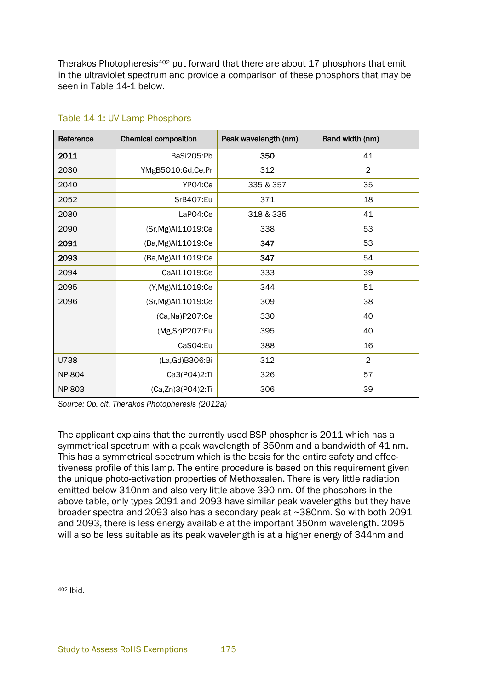Therakos Photopheresis<sup>402</sup> put forward that there are about 17 phosphors that emit in the ultraviolet spectrum and provide a comparison of these phosphors that may be seen in [Table 14-1](#page-8-0) below.

| Reference     | <b>Chemical composition</b> | Peak wavelength (nm) | Band width (nm) |
|---------------|-----------------------------|----------------------|-----------------|
| 2011          | BaSi205:Pb                  | 350                  | 41              |
| 2030          | YMgB5010:Gd,Ce,Pr           | 312                  | $\overline{2}$  |
| 2040          | YPO4:Ce                     | 335 & 357            | 35              |
| 2052          | SrB407:Eu                   | 371                  | 18              |
| 2080          | LaPO4:Ce                    | 318 & 335            | 41              |
| 2090          | (Sr, Mg) Al 11019: Ce       | 338                  | 53              |
| 2091          | (Ba, Mg) Al 11019: Ce       | 347                  | 53              |
| 2093          | (Ba, Mg) Al 11019: Ce       | 347                  | 54              |
| 2094          | CaAI11019:Ce                | 333                  | 39              |
| 2095          | (Y,Mg)Al11019:Ce            | 344                  | 51              |
| 2096          | (Sr, Mg) Al 11019: Ce       | 309                  | 38              |
|               | (Ca, Na) P207: Ce           | 330                  | 40              |
|               | (Mg,Sr)P207:Eu              | 395                  | 40              |
|               | CaSO4:Eu                    | 388                  | 16              |
| U738          | (La, Gd) B306: Bi           | 312                  | $\mathbf{2}$    |
| <b>NP-804</b> | Ca3(PO4)2:Ti                | 326                  | 57              |
| NP-803        | (Ca,Zn)3(PO4)2:Ti           | 306                  | 39              |

#### <span id="page-8-0"></span>Table 14-1: UV Lamp Phosphors

*Source: Op. cit. Therakos Photopheresis (2012a)*

The applicant explains that the currently used BSP phosphor is 2011 which has a symmetrical spectrum with a peak wavelength of 350nm and a bandwidth of 41 nm. This has a symmetrical spectrum which is the basis for the entire safety and effectiveness profile of this lamp. The entire procedure is based on this requirement given the unique photo-activation properties of Methoxsalen. There is very little radiation emitted below 310nm and also very little above 390 nm. Of the phosphors in the above table, only types 2091 and 2093 have similar peak wavelengths but they have broader spectra and 2093 also has a secondary peak at ~380nm. So with both 2091 and 2093, there is less energy available at the important 350nm wavelength. 2095 will also be less suitable as its peak wavelength is at a higher energy of 344nm and

<sup>402</sup> Ibid.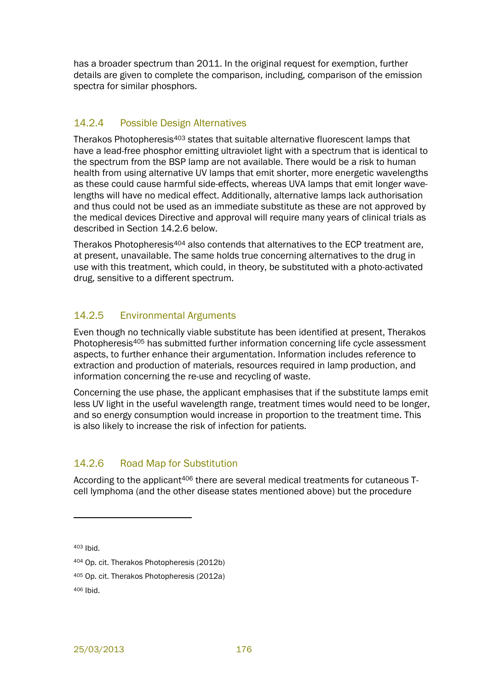has a broader spectrum than 2011. In the original request for exemption, further details are given to complete the comparison, including, comparison of the emission spectra for similar phosphors.

#### 14.2.4 Possible Design Alternatives

Therakos Photopheresis<sup>403</sup> states that suitable alternative fluorescent lamps that have a lead-free phosphor emitting ultraviolet light with a spectrum that is identical to the spectrum from the BSP lamp are not available. There would be a risk to human health from using alternative UV lamps that emit shorter, more energetic wavelengths as these could cause harmful side-effects, whereas UVA lamps that emit longer wavelengths will have no medical effect. Additionally, alternative lamps lack authorisation and thus could not be used as an immediate substitute as these are not approved by the medical devices Directive and approval will require many years of clinical trials as described in Section [14.2.6](#page-9-0) below.

Therakos Photopheresis<sup>404</sup> also contends that alternatives to the ECP treatment are, at present, unavailable. The same holds true concerning alternatives to the drug in use with this treatment, which could, in theory, be substituted with a photo-activated drug, sensitive to a different spectrum.

## 14.2.5 Environmental Arguments

Even though no technically viable substitute has been identified at present, Therakos Photopheresis<sup>405</sup> has submitted further information concerning life cycle assessment aspects, to further enhance their argumentation. Information includes reference to extraction and production of materials, resources required in lamp production, and information concerning the re-use and recycling of waste.

Concerning the use phase, the applicant emphasises that if the substitute lamps emit less UV light in the useful wavelength range, treatment times would need to be longer, and so energy consumption would increase in proportion to the treatment time. This is also likely to increase the risk of infection for patients.

## <span id="page-9-0"></span>14.2.6 Road Map for Substitution

According to the applicant<sup>406</sup> there are several medical treatments for cutaneous Tcell lymphoma (and the other disease states mentioned above) but the procedure

<sup>403</sup> Ibid.

<sup>404</sup> Op. cit. Therakos Photopheresis (2012b)

<sup>405</sup> Op. cit. Therakos Photopheresis (2012a)

<sup>406</sup> Ibid.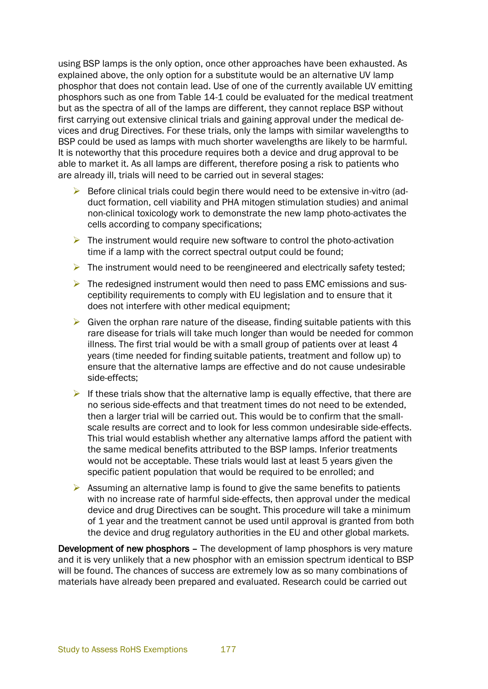using BSP lamps is the only option, once other approaches have been exhausted. As explained above, the only option for a substitute would be an alternative UV lamp phosphor that does not contain lead. Use of one of the currently available UV emitting phosphors such as one from [Table 14-1](#page-8-0) could be evaluated for the medical treatment but as the spectra of all of the lamps are different, they cannot replace BSP without first carrying out extensive clinical trials and gaining approval under the medical devices and drug Directives. For these trials, only the lamps with similar wavelengths to BSP could be used as lamps with much shorter wavelengths are likely to be harmful. It is noteworthy that this procedure requires both a device and drug approval to be able to market it. As all lamps are different, therefore posing a risk to patients who are already ill, trials will need to be carried out in several stages:

- $\triangleright$  Before clinical trials could begin there would need to be extensive in-vitro (adduct formation, cell viability and PHA mitogen stimulation studies) and animal non-clinical toxicology work to demonstrate the new lamp photo-activates the cells according to company specifications;
- $\triangleright$  The instrument would require new software to control the photo-activation time if a lamp with the correct spectral output could be found;
- $\triangleright$  The instrument would need to be reengineered and electrically safety tested;
- $\triangleright$  The redesigned instrument would then need to pass EMC emissions and susceptibility requirements to comply with EU legislation and to ensure that it does not interfere with other medical equipment;
- $\triangleright$  Given the orphan rare nature of the disease, finding suitable patients with this rare disease for trials will take much longer than would be needed for common illness. The first trial would be with a small group of patients over at least 4 years (time needed for finding suitable patients, treatment and follow up) to ensure that the alternative lamps are effective and do not cause undesirable side-effects;
- If these trials show that the alternative lamp is equally effective, that there are no serious side-effects and that treatment times do not need to be extended, then a larger trial will be carried out. This would be to confirm that the smallscale results are correct and to look for less common undesirable side-effects. This trial would establish whether any alternative lamps afford the patient with the same medical benefits attributed to the BSP lamps. Inferior treatments would not be acceptable. These trials would last at least 5 years given the specific patient population that would be required to be enrolled; and
- $\triangleright$  Assuming an alternative lamp is found to give the same benefits to patients with no increase rate of harmful side-effects, then approval under the medical device and drug Directives can be sought. This procedure will take a minimum of 1 year and the treatment cannot be used until approval is granted from both the device and drug regulatory authorities in the EU and other global markets.

Development of new phosphors – The development of lamp phosphors is very mature and it is very unlikely that a new phosphor with an emission spectrum identical to BSP will be found. The chances of success are extremely low as so many combinations of materials have already been prepared and evaluated. Research could be carried out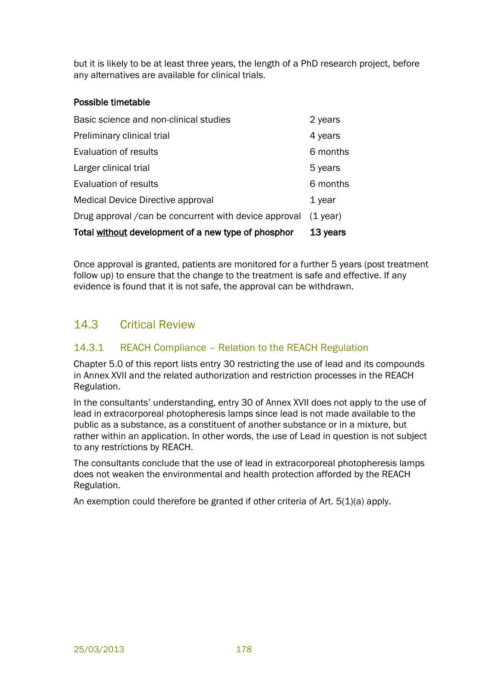but it is likely to be at least three years, the length of a PhD research project, before any alternatives are available for clinical trials.

#### Possible timetable

| Total without development of a new type of phosphor    | 13 years   |
|--------------------------------------------------------|------------|
| Drug approval / can be concurrent with device approval | $(1$ year) |
| <b>Medical Device Directive approval</b>               | 1 year     |
| Evaluation of results                                  | 6 months   |
| Larger clinical trial                                  | 5 years    |
| Evaluation of results                                  | 6 months   |
| Preliminary clinical trial                             | 4 years    |
| Basic science and non-clinical studies                 | 2 years    |

Once approval is granted, patients are monitored for a further 5 years (post treatment follow up) to ensure that the change to the treatment is safe and effective. If any evidence is found that it is not safe, the approval can be withdrawn.

## 14.3 Critical Review

#### 14.3.1 REACH Compliance – Relation to the REACH Regulation

Chapter 5.0 of this report lists entry 30 restricting the use of lead and its compounds in Annex XVII and the related authorization and restriction processes in the REACH Regulation.

In the consultants' understanding, entry 30 of Annex XVII does not apply to the use of lead in extracorporeal photopheresis lamps since lead is not made available to the public as a substance, as a constituent of another substance or in a mixture, but rather within an application. In other words, the use of Lead in question is not subject to any restrictions by REACH.

The consultants conclude that the use of lead in extracorporeal photopheresis lamps does not weaken the environmental and health protection afforded by the REACH Regulation.

An exemption could therefore be granted if other criteria of Art.  $5(1)(a)$  apply.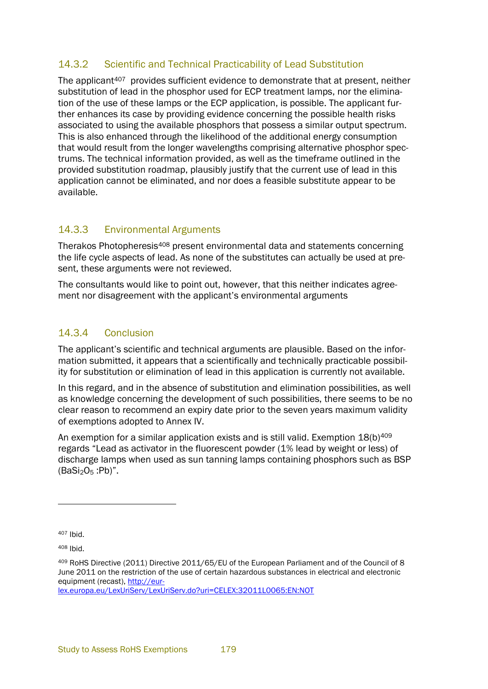#### 14.3.2 Scientific and Technical Practicability of Lead Substitution

The applicant<sup>407</sup> provides sufficient evidence to demonstrate that at present, neither substitution of lead in the phosphor used for ECP treatment lamps, nor the elimination of the use of these lamps or the ECP application, is possible. The applicant further enhances its case by providing evidence concerning the possible health risks associated to using the available phosphors that possess a similar output spectrum. This is also enhanced through the likelihood of the additional energy consumption that would result from the longer wavelengths comprising alternative phosphor spectrums. The technical information provided, as well as the timeframe outlined in the provided substitution roadmap, plausibly justify that the current use of lead in this application cannot be eliminated, and nor does a feasible substitute appear to be available.

## 14.3.3 Environmental Arguments

Therakos Photopheresis<sup>408</sup> present environmental data and statements concerning the life cycle aspects of lead. As none of the substitutes can actually be used at present, these arguments were not reviewed.

The consultants would like to point out, however, that this neither indicates agreement nor disagreement with the applicant's environmental arguments

## 14.3.4 Conclusion

The applicant's scientific and technical arguments are plausible. Based on the information submitted, it appears that a scientifically and technically practicable possibility for substitution or elimination of lead in this application is currently not available.

In this regard, and in the absence of substitution and elimination possibilities, as well as knowledge concerning the development of such possibilities, there seems to be no clear reason to recommend an expiry date prior to the seven years maximum validity of exemptions adopted to Annex IV.

An exemption for a similar application exists and is still valid. Exemption  $18(b)^{409}$ regards "Lead as activator in the fluorescent powder (1% lead by weight or less) of discharge lamps when used as sun tanning lamps containing phosphors such as BSP  $(BaSi<sub>2</sub>O<sub>5</sub>:Pb)<sup>n</sup>$ .

<sup>407</sup> Ibid.

<sup>408</sup> Ibid.

<sup>409</sup> RoHS Directive (2011) Directive 2011/65/EU of the European Parliament and of the Council of 8 June 2011 on the restriction of the use of certain hazardous substances in electrical and electronic equipment (recast), [http://eur](http://eur-lex.europa.eu/LexUriServ/LexUriServ.do?uri=CELEX:32011L0065:EN:NOT)[lex.europa.eu/LexUriServ/LexUriServ.do?uri=CELEX:32011L0065:EN:NOT](http://eur-lex.europa.eu/LexUriServ/LexUriServ.do?uri=CELEX:32011L0065:EN:NOT)